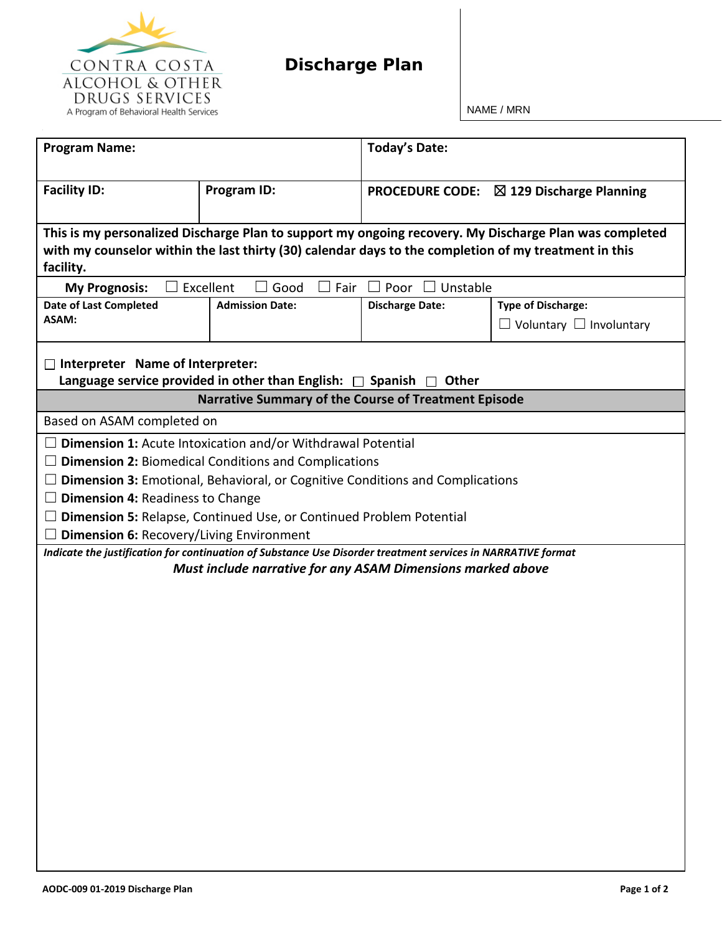

NAME / MRN

| <b>Program Name:</b>                                                                                                                                                                                                                                                                                                                                                                                                                                                                                                                                                                                               |                                                      | <b>Today's Date:</b>   |                                                                  |  |  |  |
|--------------------------------------------------------------------------------------------------------------------------------------------------------------------------------------------------------------------------------------------------------------------------------------------------------------------------------------------------------------------------------------------------------------------------------------------------------------------------------------------------------------------------------------------------------------------------------------------------------------------|------------------------------------------------------|------------------------|------------------------------------------------------------------|--|--|--|
| <b>Facility ID:</b>                                                                                                                                                                                                                                                                                                                                                                                                                                                                                                                                                                                                | Program ID:                                          |                        | <b>PROCEDURE CODE:</b> $\boxtimes$ 129 Discharge Planning        |  |  |  |
| This is my personalized Discharge Plan to support my ongoing recovery. My Discharge Plan was completed<br>with my counselor within the last thirty (30) calendar days to the completion of my treatment in this<br>facility.                                                                                                                                                                                                                                                                                                                                                                                       |                                                      |                        |                                                                  |  |  |  |
| <b>My Prognosis:</b>                                                                                                                                                                                                                                                                                                                                                                                                                                                                                                                                                                                               | Excellent<br>Good<br>Fair                            | Poor<br>Unstable       |                                                                  |  |  |  |
| <b>Date of Last Completed</b><br>ASAM:                                                                                                                                                                                                                                                                                                                                                                                                                                                                                                                                                                             | <b>Admission Date:</b>                               | <b>Discharge Date:</b> | <b>Type of Discharge:</b><br>$\Box$ Voluntary $\Box$ Involuntary |  |  |  |
| Interpreter Name of Interpreter:<br>Language service provided in other than English: $\Box$ Spanish $\Box$ Other                                                                                                                                                                                                                                                                                                                                                                                                                                                                                                   |                                                      |                        |                                                                  |  |  |  |
|                                                                                                                                                                                                                                                                                                                                                                                                                                                                                                                                                                                                                    | Narrative Summary of the Course of Treatment Episode |                        |                                                                  |  |  |  |
|                                                                                                                                                                                                                                                                                                                                                                                                                                                                                                                                                                                                                    |                                                      |                        |                                                                  |  |  |  |
| Based on ASAM completed on<br><b>Dimension 1: Acute Intoxication and/or Withdrawal Potential</b><br><b>Dimension 2: Biomedical Conditions and Complications</b><br>$\Box$ Dimension 3: Emotional, Behavioral, or Cognitive Conditions and Complications<br>$\Box$ Dimension 4: Readiness to Change<br><b>Dimension 5: Relapse, Continued Use, or Continued Problem Potential</b><br><b>Dimension 6: Recovery/Living Environment</b><br>Indicate the justification for continuation of Substance Use Disorder treatment services in NARRATIVE format<br>Must include narrative for any ASAM Dimensions marked above |                                                      |                        |                                                                  |  |  |  |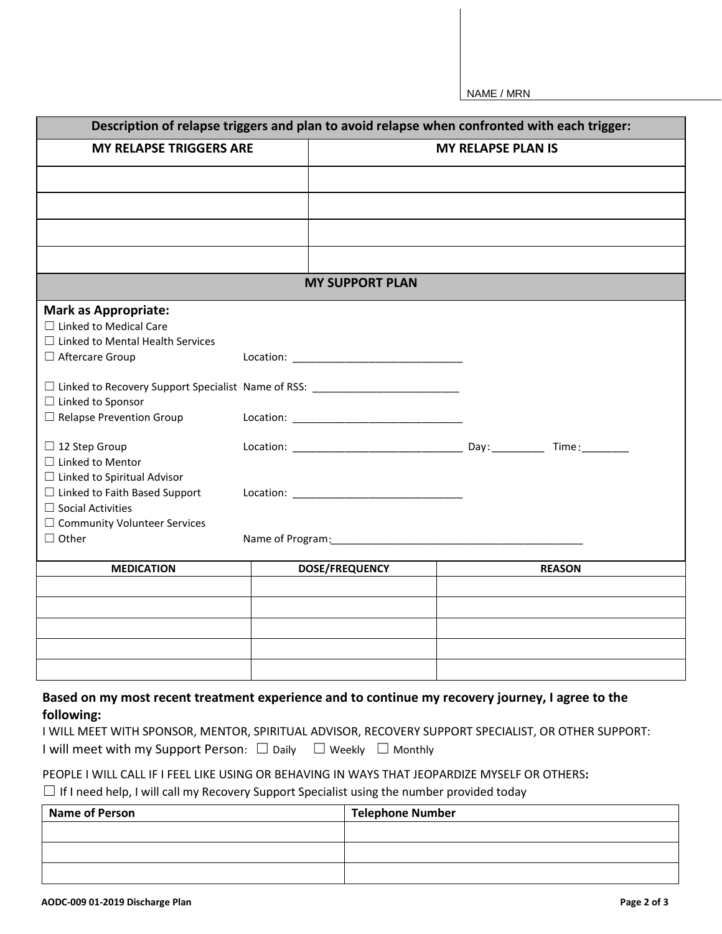NAME / MRN

| Description of relapse triggers and plan to avoid relapse when confronted with each trigger: |  |                           |  |               |  |  |
|----------------------------------------------------------------------------------------------|--|---------------------------|--|---------------|--|--|
| <b>MY RELAPSE TRIGGERS ARE</b>                                                               |  | <b>MY RELAPSE PLAN IS</b> |  |               |  |  |
|                                                                                              |  |                           |  |               |  |  |
|                                                                                              |  |                           |  |               |  |  |
|                                                                                              |  |                           |  |               |  |  |
|                                                                                              |  |                           |  |               |  |  |
|                                                                                              |  |                           |  |               |  |  |
| <b>MY SUPPORT PLAN</b>                                                                       |  |                           |  |               |  |  |
| <b>Mark as Appropriate:</b>                                                                  |  |                           |  |               |  |  |
| $\Box$ Linked to Medical Care                                                                |  |                           |  |               |  |  |
| $\Box$ Linked to Mental Health Services                                                      |  |                           |  |               |  |  |
| □ Aftercare Group                                                                            |  |                           |  |               |  |  |
| □ Linked to Recovery Support Specialist Name of RSS: ___________________________             |  |                           |  |               |  |  |
| $\Box$ Linked to Sponsor                                                                     |  |                           |  |               |  |  |
| $\Box$ Relapse Prevention Group                                                              |  |                           |  |               |  |  |
| $\Box$ 12 Step Group                                                                         |  |                           |  |               |  |  |
| $\Box$ Linked to Mentor                                                                      |  |                           |  |               |  |  |
| $\Box$ Linked to Spiritual Advisor                                                           |  |                           |  |               |  |  |
| $\Box$ Linked to Faith Based Support                                                         |  |                           |  |               |  |  |
| $\Box$ Social Activities                                                                     |  |                           |  |               |  |  |
| □ Community Volunteer Services                                                               |  |                           |  |               |  |  |
| $\Box$ Other                                                                                 |  |                           |  |               |  |  |
| <b>MEDICATION</b>                                                                            |  | <b>DOSE/FREQUENCY</b>     |  | <b>REASON</b> |  |  |
|                                                                                              |  |                           |  |               |  |  |
|                                                                                              |  |                           |  |               |  |  |
|                                                                                              |  |                           |  |               |  |  |
|                                                                                              |  |                           |  |               |  |  |
|                                                                                              |  |                           |  |               |  |  |

## **Based on my most recent treatment experience and to continue my recovery journey, I agree to the following:**

|                                                                                        | I WILL MEET WITH SPONSOR, MENTOR, SPIRITUAL ADVISOR, RECOVERY SUPPORT SPECIALIST, OR OTHER SUPPORT: |
|----------------------------------------------------------------------------------------|-----------------------------------------------------------------------------------------------------|
| I will meet with my Support Person: $\square$ Daily $\square$ Weekly $\square$ Monthly |                                                                                                     |

## PEOPLE I WILL CALL IF I FEEL LIKE USING OR BEHAVING IN WAYS THAT JEOPARDIZE MYSELF OR OTHERS**:**

□ If I need help, I will call my Recovery Support Specialist using the number provided today

| <b>Name of Person</b> | <b>Telephone Number</b> |
|-----------------------|-------------------------|
|                       |                         |
|                       |                         |
|                       |                         |